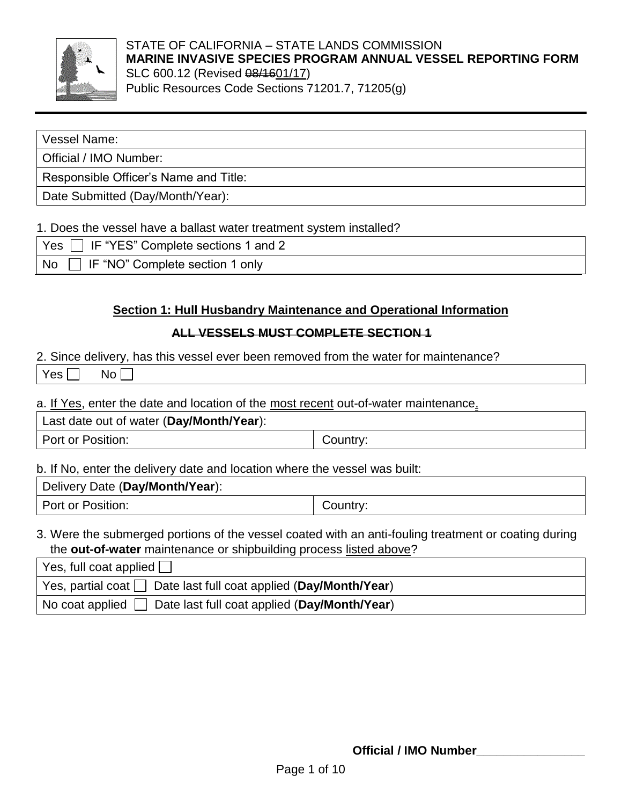

#### STATE OF CALIFORNIA – STATE LANDS COMMISSION **MARINE INVASIVE SPECIES PROGRAM ANNUAL VESSEL REPORTING FORM** SLC 600.12 (Revised  $\frac{0.14601}{17}$ ) Public Resources Code Sections 71201.7, 71205(g)

#### Vessel Name:

Official / IMO Number:

Responsible Officer's Name and Title:

Date Submitted (Day/Month/Year):

#### 1. Does the vessel have a ballast water treatment system installed?

| $\vert$ Yes $\vert$ IF "YES" Complete sections 1 and 2 |  |
|--------------------------------------------------------|--|
| □ IF "NO" Complete section 1 only<br><b>No</b>         |  |

## **Section 1: Hull Husbandry Maintenance and Operational Information**

### **ALL VESSELS MUST COMPLETE SECTION 1**

2. Since delivery, has this vessel ever been removed from the water for maintenance?

| ____<br>Yes<br>Nc<br>$\sim$ $\sim$<br>$\sim$ |
|----------------------------------------------|
|----------------------------------------------|

a. If Yes, enter the date and location of the most recent out-of-water maintenance.

Last date out of water (**Day/Month/Year**):

Port or Position:  $\vert$  Country:

b. If No, enter the delivery date and location where the vessel was built:

Delivery Date (**Day/Month/Year**):

Port or Position:  $\qquad \qquad$  Country:

## 3. Were the submerged portions of the vessel coated with an anti-fouling treatment or coating during the **out-of-water** maintenance or shipbuilding process listed above?

| Yes, full coat applied $\Box$                                                      |
|------------------------------------------------------------------------------------|
| $\vert$ Yes, partial coat $\vert$ Date last full coat applied (Day/Month/Year)     |
| $\vert$ No coat applied $\vert \vert$ Date last full coat applied (Day/Month/Year) |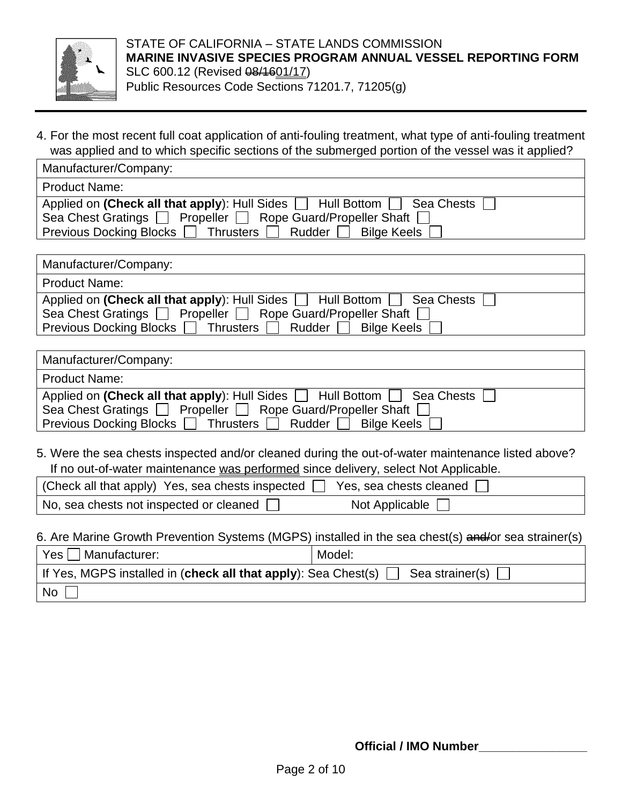

4. For the most recent full coat application of anti-fouling treatment, what type of anti-fouling treatment was applied and to which specific sections of the submerged portion of the vessel was it applied?

| Manufacturer/Company:                                                        |
|------------------------------------------------------------------------------|
| <b>Product Name:</b>                                                         |
| Applied on (Check all that apply): Hull Sides<br>Hull Bottom  <br>Sea Chests |
| Propeller   Rope Guard/Propeller Shaft  <br>Sea Chest Gratings $\Box$        |
| Previous Docking Blocks [<br>Rudder<br><b>Bilge Keels</b><br>Thrusters       |

| Manufacturer/Company:                                                    |
|--------------------------------------------------------------------------|
| <b>Product Name:</b>                                                     |
| Applied on (Check all that apply): Hull Sides   Hull Bottom   Sea Chests |
| Sea Chest Gratings   Propeller   Rope Guard/Propeller Shaft              |
| Rudder [<br>Bilge Keels<br><b>Previous Docking Blocks</b><br>Thrusters I |

| Manufacturer/Company:                                                              |
|------------------------------------------------------------------------------------|
| <b>Product Name:</b>                                                               |
| Applied on (Check all that apply): Hull Sides $\Box$ Hull Bottom $\Box$ Sea Chests |
| Propeller   Rope Guard/Propeller Shaft  <br>Sea Chest Gratings $\Box$              |
| Rudder [<br>Bilge Keels  <br>Previous Docking Blocks  <br>Thrusters $\Box$         |

5. Were the sea chests inspected and/or cleaned during the out-of-water maintenance listed above? If no out-of-water maintenance was performed since delivery, select Not Applicable.

| $\mid$ (Check all that apply) Yes, sea chests inspected $\Box$ Yes, sea chests cleaned $\Box$ |                |
|-----------------------------------------------------------------------------------------------|----------------|
| No, sea chests not inspected or cleaned [                                                     | Not Applicable |

6. Are Marine Growth Prevention Systems (MGPS) installed in the sea chest(s) and/or sea strainer(s)

| Yes  <br>Manufacturer:                                                            | Model: |  |  |
|-----------------------------------------------------------------------------------|--------|--|--|
| If Yes, MGPS installed in (check all that apply): Sea Chest(s)<br>Sea strainer(s) |        |  |  |
| l No                                                                              |        |  |  |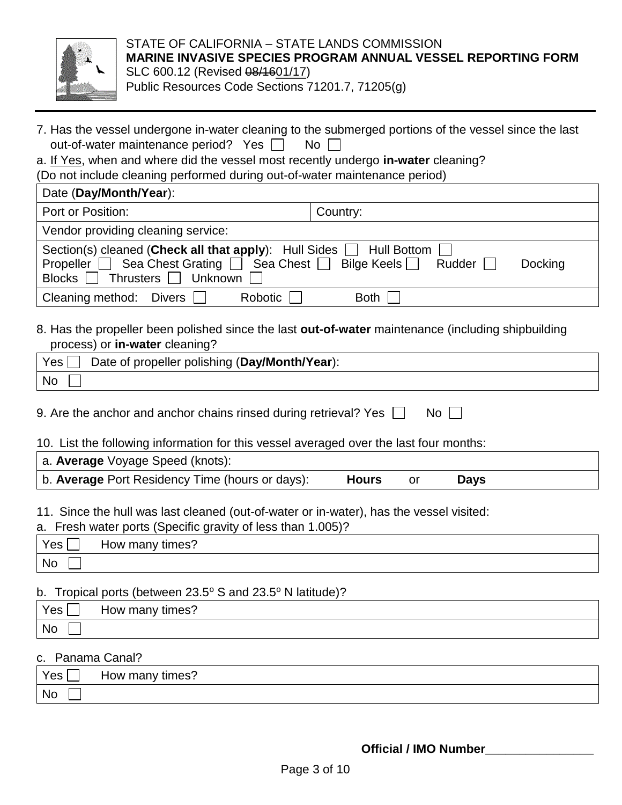

#### STATE OF CALIFORNIA – STATE LANDS COMMISSION **MARINE INVASIVE SPECIES PROGRAM ANNUAL VESSEL REPORTING FORM** SLC 600.12 (Revised  $\frac{0.44601}{17}$ ) Public Resources Code Sections 71201.7, 71205(g)

- 7. Has the vessel undergone in-water cleaning to the submerged portions of the vessel since the last out-of-water maintenance period? Yes  $\Box$  No  $\Box$
- a. If Yes, when and where did the vessel most recently undergo **in-water** cleaning?

(Do not include cleaning performed during out-of-water maintenance period)

| Date (Day/Month/Year):                                                                                                                                                                                 |      |  |  |
|--------------------------------------------------------------------------------------------------------------------------------------------------------------------------------------------------------|------|--|--|
| Port or Position:<br>Country:                                                                                                                                                                          |      |  |  |
| Vendor providing cleaning service:                                                                                                                                                                     |      |  |  |
| Section(s) cleaned (Check all that apply): Hull Sides   Hull Bottom  <br>Propeller   Sea Chest Grating   Sea Chest   Bilge Keels   Rudder  <br><b>Docking</b><br>Blocks <sup>Thrusters</sup> I Unknown |      |  |  |
| Robotic  <br>Cleaning method: Divers                                                                                                                                                                   | Both |  |  |

8. Has the propeller been polished since the last **out-of-water** maintenance (including shipbuilding process) or **in-water** cleaning?

| Yes<br>Date of propeller polishing (Day/Month/Year): |  |
|------------------------------------------------------|--|
| <b>No</b>                                            |  |

9. Are the anchor and anchor chains rinsed during retrieval? Yes  $\Box$  No  $\Box$ 

10. List the following information for this vessel averaged over the last four months:

| a. Average Voyage Speed (knots):                |              |             |  |
|-------------------------------------------------|--------------|-------------|--|
| b. Average Port Residency Time (hours or days): | <b>Hours</b> | <b>Days</b> |  |

11. Since the hull was last cleaned (out-of-water or in-water), has the vessel visited:

a. Fresh water ports (Specific gravity of less than 1.005)?

| Yes | times?<br>How many |  |
|-----|--------------------|--|
| No  |                    |  |

#### b. Tropical ports (between  $23.5^{\circ}$  S and  $23.5^{\circ}$  N latitude)?

| Yes <sub>1</sub> | times':<br>many<br>HOW |  |
|------------------|------------------------|--|
| <b>No</b>        |                        |  |

#### c. Panama Canal?

| Yes, | How many times? |  |
|------|-----------------|--|
| l No |                 |  |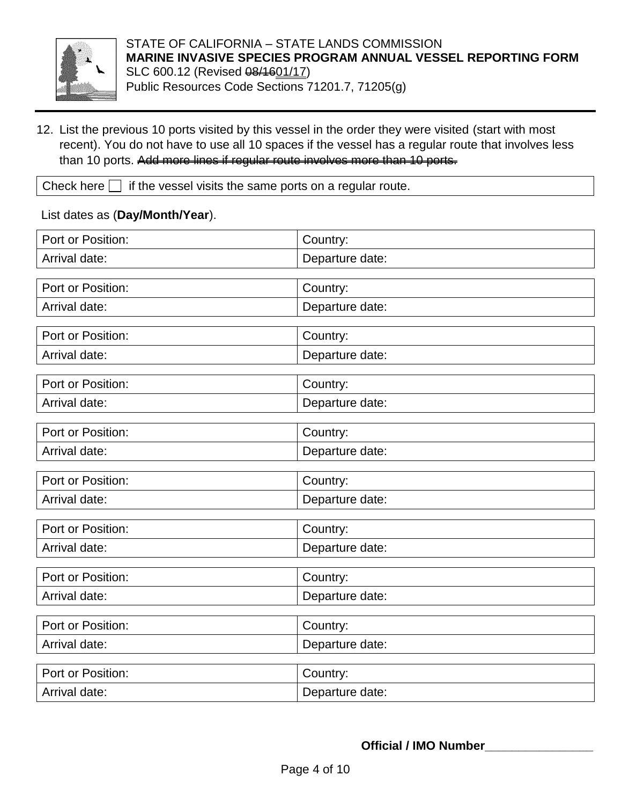

12. List the previous 10 ports visited by this vessel in the order they were visited (start with most recent). You do not have to use all 10 spaces if the vessel has a regular route that involves less than 10 ports. Add more lines if regular route involves more than 10 ports.

Check here  $\Box$  if the vessel visits the same ports on a regular route.

List dates as (**Day/Month/Year**).

| Port or Position: | Country:        |
|-------------------|-----------------|
| Arrival date:     | Departure date: |
|                   |                 |
| Port or Position: | Country:        |
| Arrival date:     | Departure date: |
| Port or Position: | Country:        |
| Arrival date:     | Departure date: |
| Port or Position: | Country:        |
| Arrival date:     | Departure date: |
| Port or Position: | Country:        |
| Arrival date:     | Departure date: |
| Port or Position: |                 |
|                   | Country:        |
| Arrival date:     | Departure date: |
| Port or Position: | Country:        |
| Arrival date:     | Departure date: |
| Port or Position: | Country:        |
| Arrival date:     | Departure date: |
| Port or Position: | Country:        |
| Arrival date:     | Departure date: |
| Port or Position: | Country:        |
| Arrival date:     | Departure date: |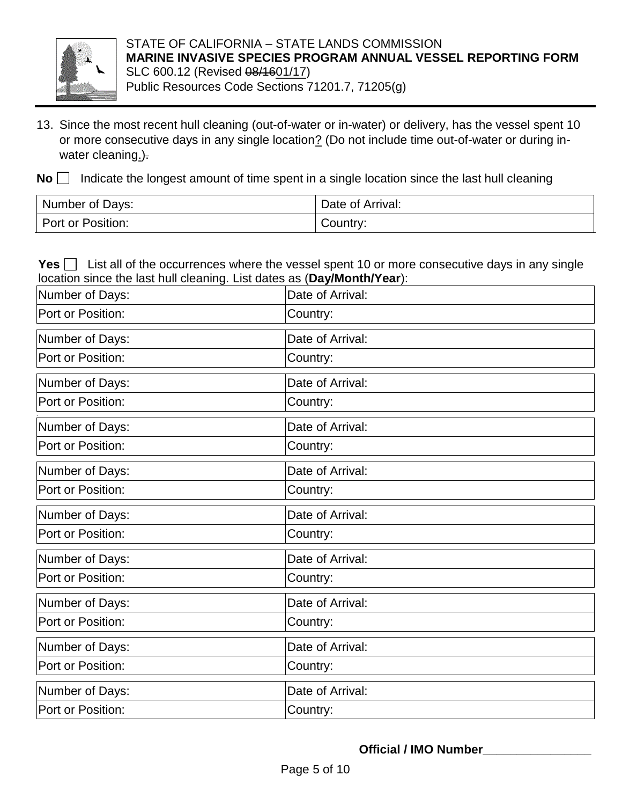

- 13. Since the most recent hull cleaning (out-of-water or in-water) or delivery, has the vessel spent 10 or more consecutive days in any single location? (Do not include time out-of-water or during inwater cleaning.).
- **No**  $\Box$  Indicate the longest amount of time spent in a single location since the last hull cleaning

| Number of Days:   | Date of Arrival: |  |
|-------------------|------------------|--|
| Port or Position: | Country:         |  |

**Yes**  $\Box$  List all of the occurrences where the vessel spent 10 or more consecutive days in any single location since the last hull cleaning. List dates as (**Day/Month/Year**):

| Number of Days:   | Date of Arrival: |  |
|-------------------|------------------|--|
| Port or Position: | Country:         |  |
| Number of Days:   | Date of Arrival: |  |
| Port or Position: | Country:         |  |
| Number of Days:   | Date of Arrival: |  |
| Port or Position: | Country:         |  |
| Number of Days:   | Date of Arrival: |  |
| Port or Position: | Country:         |  |
| Number of Days:   | Date of Arrival: |  |
| Port or Position: | Country:         |  |
| Number of Days:   | Date of Arrival: |  |
| Port or Position: | Country:         |  |
| Number of Days:   | Date of Arrival: |  |
| Port or Position: | Country:         |  |
| Number of Days:   | Date of Arrival: |  |
| Port or Position: | Country:         |  |
| Number of Days:   | Date of Arrival: |  |
| Port or Position: | Country:         |  |
| Number of Days:   | Date of Arrival: |  |
| Port or Position: | Country:         |  |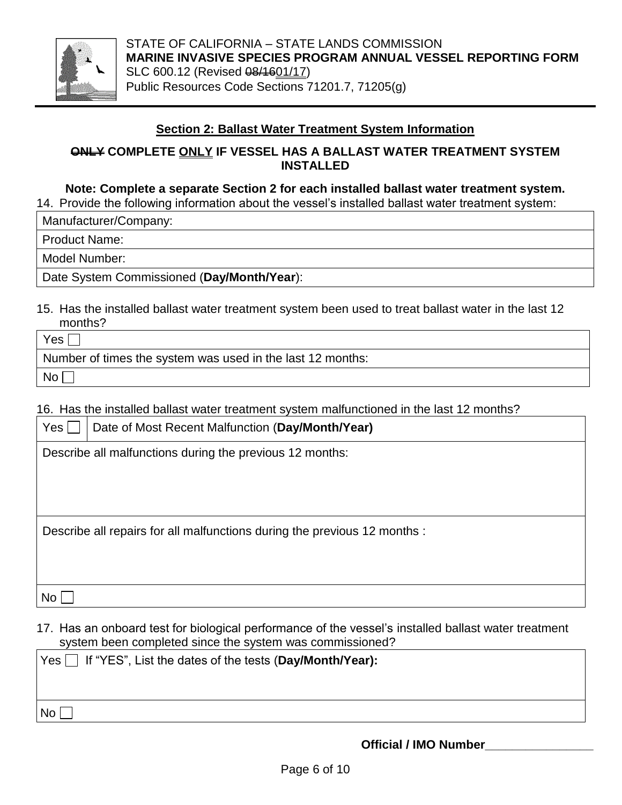

STATE OF CALIFORNIA – STATE LANDS COMMISSION **MARINE INVASIVE SPECIES PROGRAM ANNUAL VESSEL REPORTING FORM** SLC 600.12 (Revised  $\frac{0.14601}{17}$ ) Public Resources Code Sections 71201.7, 71205(g)

#### **Section 2: Ballast Water Treatment System Information**

**ONLY COMPLETE ONLY IF VESSEL HAS A BALLAST WATER TREATMENT SYSTEM INSTALLED**

#### **Note: Complete a separate Section 2 for each installed ballast water treatment system.**

14. Provide the following information about the vessel's installed ballast water treatment system:

Manufacturer/Company:

Product Name:

Model Number:

Date System Commissioned (**Day/Month/Year**):

15. Has the installed ballast water treatment system been used to treat ballast water in the last 12 months?

| Yes <sub>1</sub>                                           |
|------------------------------------------------------------|
| Number of times the system was used in the last 12 months: |
| No <sub>1</sub>                                            |

16. Has the installed ballast water treatment system malfunctioned in the last 12 months?

| Yes                                                                       | Date of Most Recent Malfunction (Day/Month/Year)         |  |
|---------------------------------------------------------------------------|----------------------------------------------------------|--|
|                                                                           | Describe all malfunctions during the previous 12 months: |  |
|                                                                           |                                                          |  |
|                                                                           |                                                          |  |
|                                                                           |                                                          |  |
| Describe all repairs for all malfunctions during the previous 12 months : |                                                          |  |
|                                                                           |                                                          |  |
|                                                                           |                                                          |  |
| No                                                                        |                                                          |  |

17. Has an onboard test for biological performance of the vessel's installed ballast water treatment system been completed since the system was commissioned?

| $\forall$ es $\Box$ If "YES", List the dates of the tests (Day/Month/Year): |  |
|-----------------------------------------------------------------------------|--|
|                                                                             |  |
| $\vert$ No $\vert$                                                          |  |

**Official / IMO Number\_\_\_\_\_\_\_\_\_\_\_\_\_\_\_\_**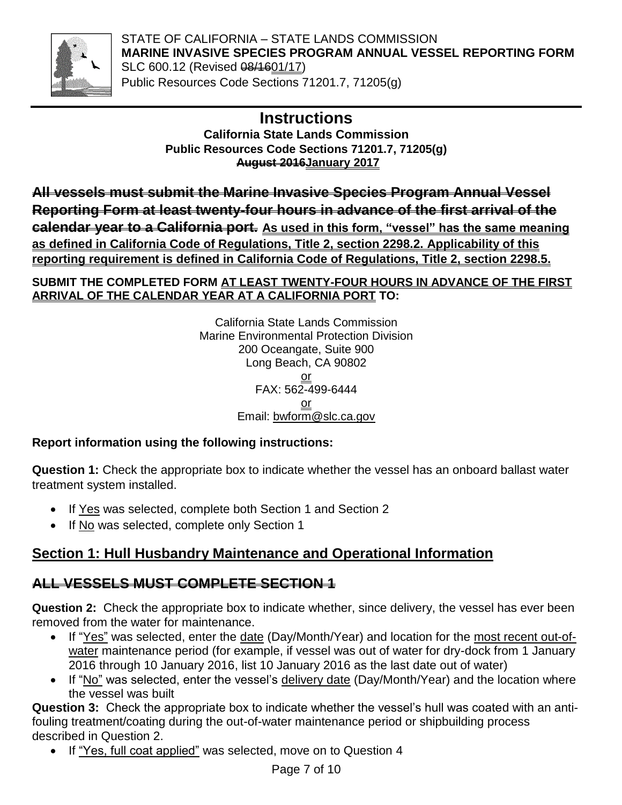

STATE OF CALIFORNIA – STATE LANDS COMMISSION **MARINE INVASIVE SPECIES PROGRAM ANNUAL VESSEL REPORTING FORM** SLC 600.12 (Revised  $\frac{0.14601}{17}$ ) Public Resources Code Sections 71201.7, 71205(g)

## **Instructions**

**California State Lands Commission Public Resources Code Sections 71201.7, 71205(g) August 2016January 2017**

**All vessels must submit the Marine Invasive Species Program Annual Vessel Reporting Form at least twenty-four hours in advance of the first arrival of the calendar year to a California port. As used in this form, "vessel" has the same meaning as defined in California Code of Regulations, Title 2, section 2298.2. Applicability of this reporting requirement is defined in California Code of Regulations, Title 2, section 2298.5.**

### **SUBMIT THE COMPLETED FORM AT LEAST TWENTY-FOUR HOURS IN ADVANCE OF THE FIRST ARRIVAL OF THE CALENDAR YEAR AT A CALIFORNIA PORT TO:**

California State Lands Commission Marine Environmental Protection Division 200 Oceangate, Suite 900 Long Beach, CA 90802 or FAX: 562-499-6444 or Email: [bwform@slc.ca.gov](mailto:bwform@slc.ca.gov)

## **Report information using the following instructions:**

**Question 1:** Check the appropriate box to indicate whether the vessel has an onboard ballast water treatment system installed.

- If Yes was selected, complete both Section 1 and Section 2
- If No was selected, complete only Section 1

# **Section 1: Hull Husbandry Maintenance and Operational Information**

## **ALL VESSELS MUST COMPLETE SECTION 1**

**Question 2:** Check the appropriate box to indicate whether, since delivery, the vessel has ever been removed from the water for maintenance.

- If "Yes" was selected, enter the date (Day/Month/Year) and location for the most recent out-ofwater maintenance period (for example, if vessel was out of water for dry-dock from 1 January 2016 through 10 January 2016, list 10 January 2016 as the last date out of water)
- If "No" was selected, enter the vessel's delivery date (Day/Month/Year) and the location where the vessel was built

**Question 3:** Check the appropriate box to indicate whether the vessel's hull was coated with an antifouling treatment/coating during the out-of-water maintenance period or shipbuilding process described in Question 2.

If "Yes, full coat applied" was selected, move on to Question 4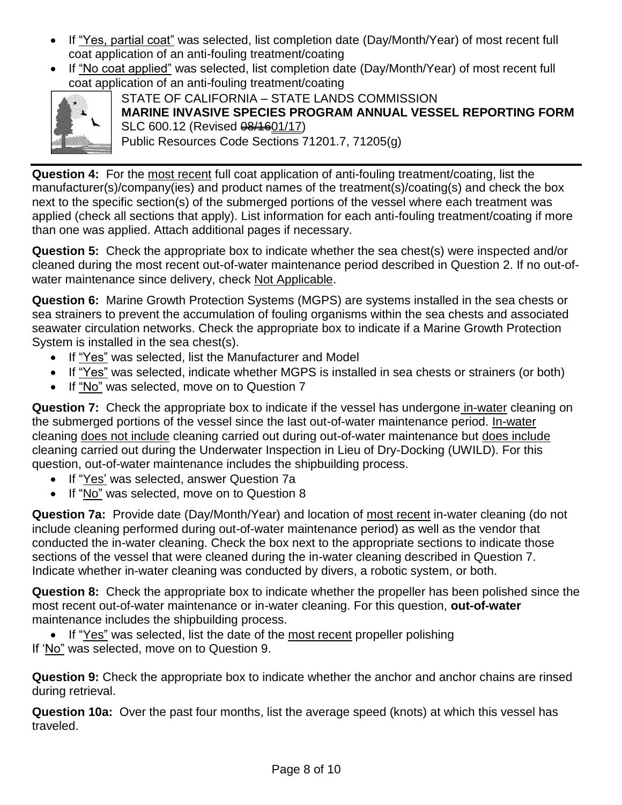- If "Yes, partial coat" was selected, list completion date (Day/Month/Year) of most recent full coat application of an anti-fouling treatment/coating
- If "No coat applied" was selected, list completion date (Day/Month/Year) of most recent full coat application of an anti-fouling treatment/coating



STATE OF CALIFORNIA – STATE LANDS COMMISSION **MARINE INVASIVE SPECIES PROGRAM ANNUAL VESSEL REPORTING FORM** SLC 600.12 (Revised  $\frac{0.44601}{17}$ ) Public Resources Code Sections 71201.7, 71205(g)

**Question 4:** For the most recent full coat application of anti-fouling treatment/coating, list the manufacturer(s)/company(ies) and product names of the treatment(s)/coating(s) and check the box next to the specific section(s) of the submerged portions of the vessel where each treatment was applied (check all sections that apply). List information for each anti-fouling treatment/coating if more than one was applied. Attach additional pages if necessary.

**Question 5:** Check the appropriate box to indicate whether the sea chest(s) were inspected and/or cleaned during the most recent out-of-water maintenance period described in Question 2. If no out-ofwater maintenance since delivery, check Not Applicable.

**Question 6:** Marine Growth Protection Systems (MGPS) are systems installed in the sea chests or sea strainers to prevent the accumulation of fouling organisms within the sea chests and associated seawater circulation networks. Check the appropriate box to indicate if a Marine Growth Protection System is installed in the sea chest(s).

- If "Yes" was selected, list the Manufacturer and Model
- If "Yes" was selected, indicate whether MGPS is installed in sea chests or strainers (or both)
- If "No" was selected, move on to Question 7

**Question 7:** Check the appropriate box to indicate if the vessel has undergone in-water cleaning on the submerged portions of the vessel since the last out-of-water maintenance period. In-water cleaning does not include cleaning carried out during out-of-water maintenance but does include cleaning carried out during the Underwater Inspection in Lieu of Dry-Docking (UWILD). For this question, out-of-water maintenance includes the shipbuilding process.

- If "Yes' was selected, answer Question 7a
- If "No" was selected, move on to Question 8

**Question 7a:** Provide date (Day/Month/Year) and location of most recent in-water cleaning (do not include cleaning performed during out-of-water maintenance period) as well as the vendor that conducted the in-water cleaning. Check the box next to the appropriate sections to indicate those sections of the vessel that were cleaned during the in-water cleaning described in Question 7. Indicate whether in-water cleaning was conducted by divers, a robotic system, or both.

**Question 8:** Check the appropriate box to indicate whether the propeller has been polished since the most recent out-of-water maintenance or in-water cleaning. For this question, **out-of-water** maintenance includes the shipbuilding process.

• If "Yes" was selected, list the date of the most recent propeller polishing If 'No" was selected, move on to Question 9.

**Question 9:** Check the appropriate box to indicate whether the anchor and anchor chains are rinsed during retrieval.

**Question 10a:** Over the past four months, list the average speed (knots) at which this vessel has traveled.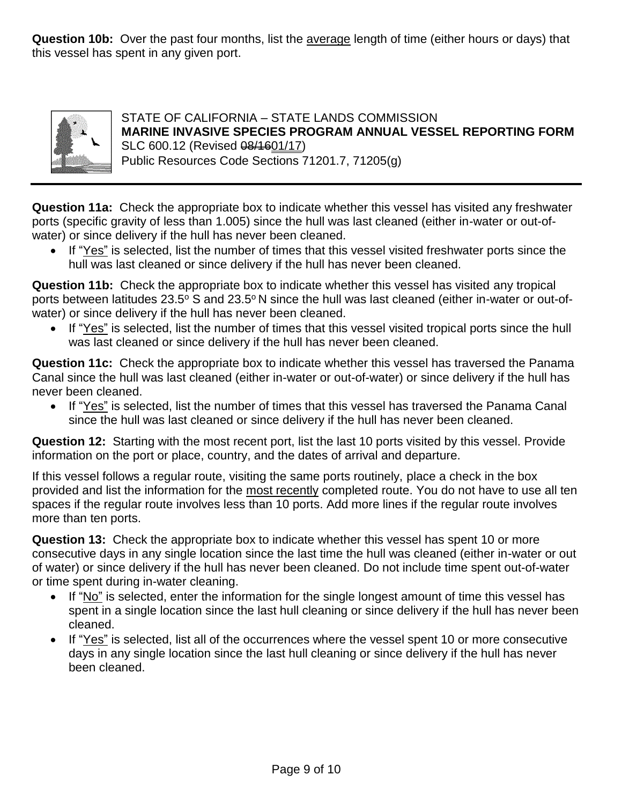**Question 10b:** Over the past four months, list the average length of time (either hours or days) that this vessel has spent in any given port.



STATE OF CALIFORNIA – STATE LANDS COMMISSION **MARINE INVASIVE SPECIES PROGRAM ANNUAL VESSEL REPORTING FORM** SLC 600.12 (Revised  $\frac{0.14601}{17}$ ) Public Resources Code Sections 71201.7, 71205(g)

**Question 11a:** Check the appropriate box to indicate whether this vessel has visited any freshwater ports (specific gravity of less than 1.005) since the hull was last cleaned (either in-water or out-ofwater) or since delivery if the hull has never been cleaned.

• If "Yes" is selected, list the number of times that this vessel visited freshwater ports since the hull was last cleaned or since delivery if the hull has never been cleaned.

**Question 11b:** Check the appropriate box to indicate whether this vessel has visited any tropical ports between latitudes  $23.5^{\circ}$  S and  $23.5^{\circ}$  N since the hull was last cleaned (either in-water or out-ofwater) or since delivery if the hull has never been cleaned.

• If "Yes" is selected, list the number of times that this vessel visited tropical ports since the hull was last cleaned or since delivery if the hull has never been cleaned.

**Question 11c:** Check the appropriate box to indicate whether this vessel has traversed the Panama Canal since the hull was last cleaned (either in-water or out-of-water) or since delivery if the hull has never been cleaned.

• If "Yes" is selected, list the number of times that this vessel has traversed the Panama Canal since the hull was last cleaned or since delivery if the hull has never been cleaned.

**Question 12:** Starting with the most recent port, list the last 10 ports visited by this vessel. Provide information on the port or place, country, and the dates of arrival and departure.

If this vessel follows a regular route, visiting the same ports routinely, place a check in the box provided and list the information for the most recently completed route. You do not have to use all ten spaces if the regular route involves less than 10 ports. Add more lines if the regular route involves more than ten ports.

**Question 13:** Check the appropriate box to indicate whether this vessel has spent 10 or more consecutive days in any single location since the last time the hull was cleaned (either in-water or out of water) or since delivery if the hull has never been cleaned. Do not include time spent out-of-water or time spent during in-water cleaning.

- If "No" is selected, enter the information for the single longest amount of time this vessel has spent in a single location since the last hull cleaning or since delivery if the hull has never been cleaned.
- If "Yes" is selected, list all of the occurrences where the vessel spent 10 or more consecutive days in any single location since the last hull cleaning or since delivery if the hull has never been cleaned.